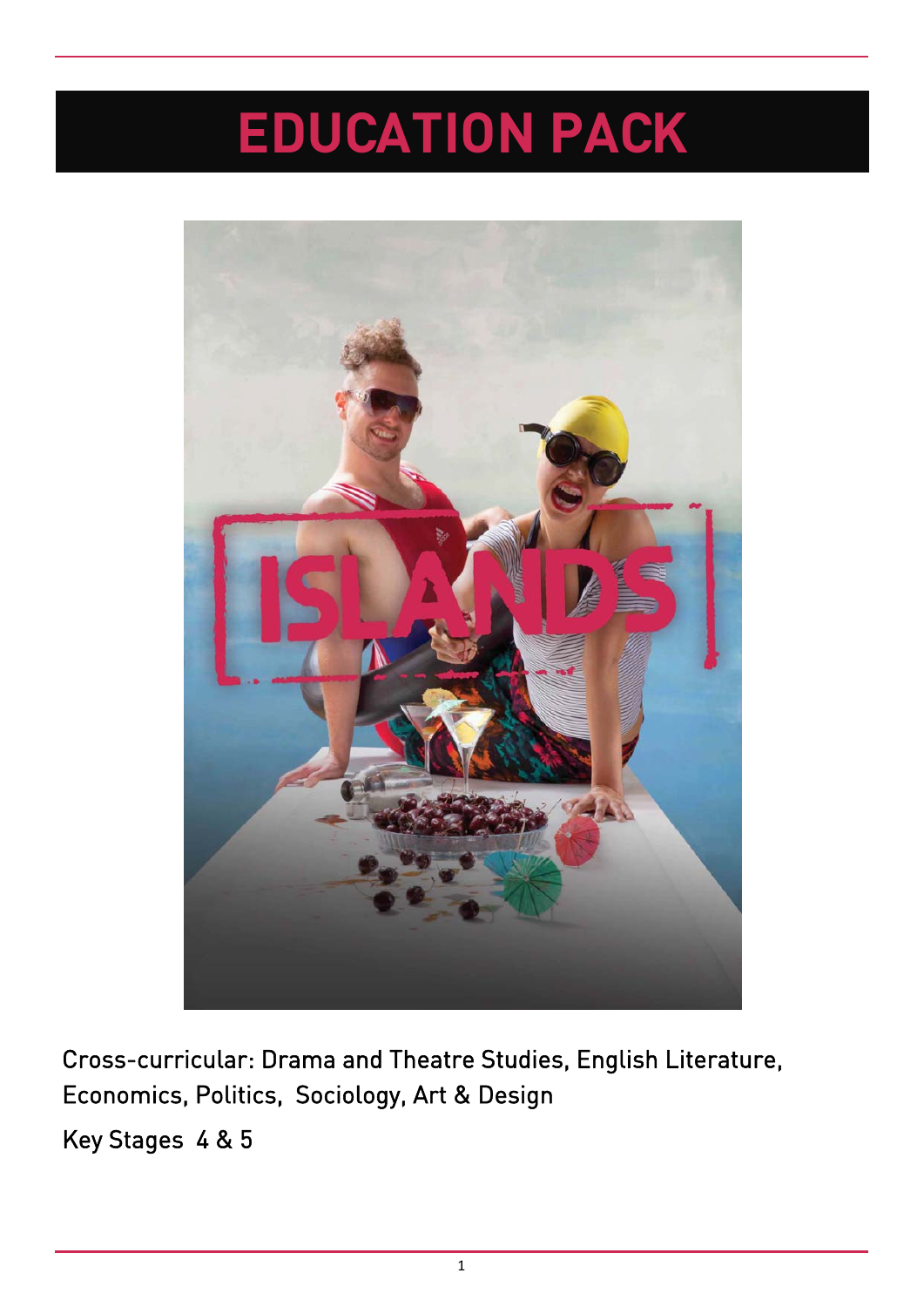# **EDUCATION PACK**



Cross-curricular: Drama and Theatre Studies, English Literature, Economics, Politics, Sociology, Art & Design

Key Stages 4 & 5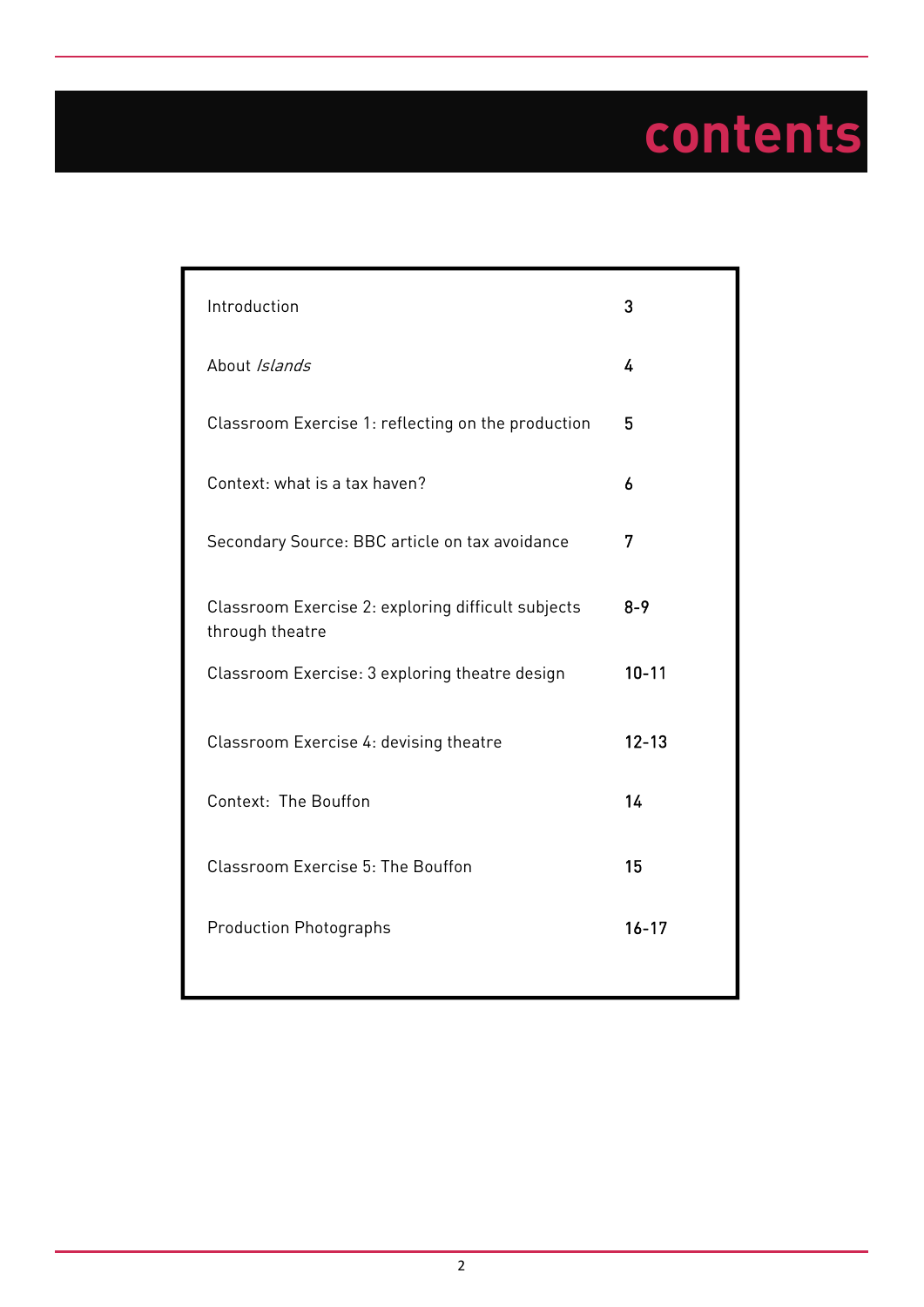# **contents**

| Introduction                                                          | 3         |
|-----------------------------------------------------------------------|-----------|
| About Islands                                                         | 4         |
| Classroom Exercise 1: reflecting on the production                    | 5         |
| Context: what is a tax haven?                                         | 6         |
| Secondary Source: BBC article on tax avoidance                        | 7         |
| Classroom Exercise 2: exploring difficult subjects<br>through theatre | $8 - 9$   |
| Classroom Exercise: 3 exploring theatre design                        | $10 - 11$ |
| Classroom Exercise 4: devising theatre                                | $12 - 13$ |
| Context: The Bouffon                                                  | 14        |
| Classroom Exercise 5: The Bouffon                                     | 15        |
| <b>Production Photographs</b>                                         | $16 - 17$ |
|                                                                       |           |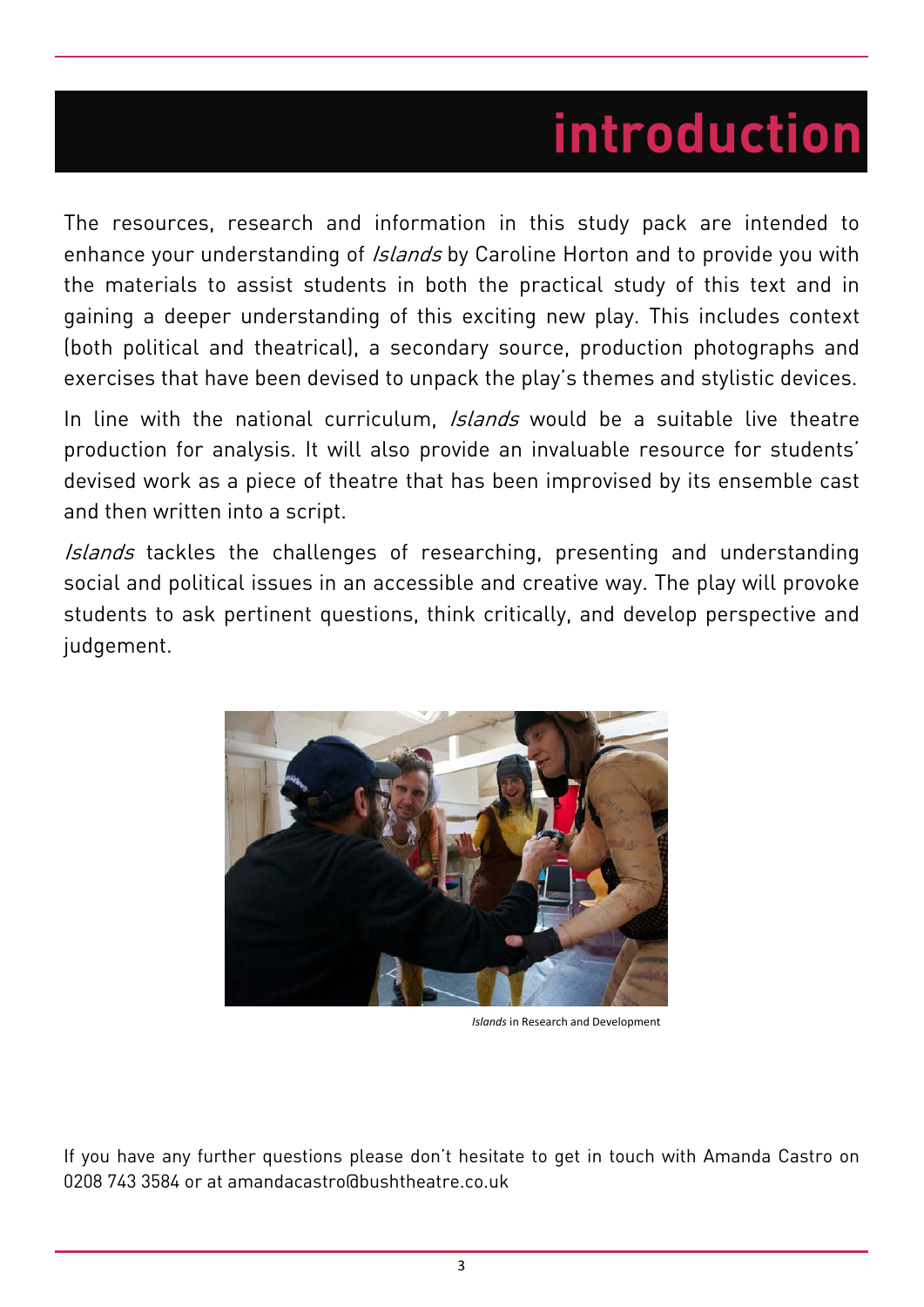## **introduction**

The resources, research and information in this study pack are intended to enhance your understanding of *Islands* by Caroline Horton and to provide you with the materials to assist students in both the practical study of this text and in gaining a deeper understanding of this exciting new play. This includes context (both political and theatrical), a secondary source, production photographs and exercises that have been devised to unpack the play's themes and stylistic devices.

In line with the national curriculum, *Islands* would be a suitable live theatre production for analysis. It will also provide an invaluable resource for students' devised work as a piece of theatre that has been improvised by its ensemble cast and then written into a script.

Islands tackles the challenges of researching, presenting and understanding social and political issues in an accessible and creative way. The play will provoke students to ask pertinent questions, think critically, and develop perspective and judgement.



*Islands* in Research and Development

If you have any further questions please don't hesitate to get in touch with Amanda Castro on 0208 743 3584 or at amandacastro@bushtheatre.co.uk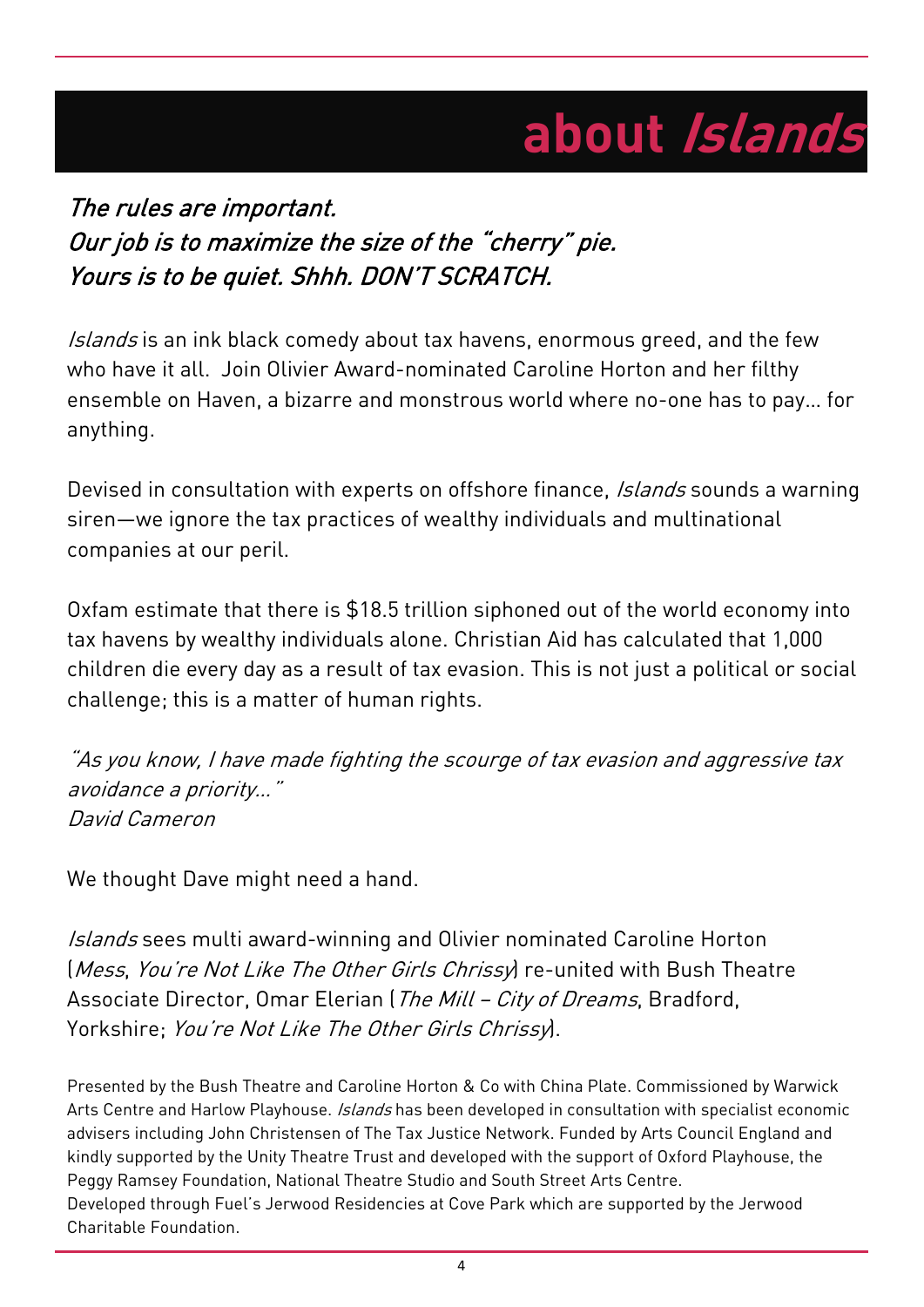## **about Islands**

### The rules are important. Our job is to maximize the size of the "cherry" pie. Yours is to be quiet. Shhh. DON'T SCRATCH.

Islands is an ink black comedy about tax havens, enormous greed, and the few who have it all. Join Olivier Award-nominated Caroline Horton and her filthy ensemble on Haven, a bizarre and monstrous world where no-one has to pay… for anything.

Devised in consultation with experts on offshore finance, *Islands* sounds a warning siren—we ignore the tax practices of wealthy individuals and multinational companies at our peril.

Oxfam estimate that there is \$18.5 trillion siphoned out of the world economy into tax havens by wealthy individuals alone. Christian Aid has calculated that 1,000 children die every day as a result of tax evasion. This is not just a political or social challenge; this is a matter of human rights.

"As you know, I have made fighting the scourge of tax evasion and aggressive tax avoidance a priority…" David Cameron

We thought Dave might need a hand.

Islands sees multi award-winning and Olivier nominated Caroline Horton (Mess, You're Not Like The Other Girls Chrissy) re-united with Bush Theatre Associate Director, Omar Elerian (The Mill - City of Dreams, Bradford, Yorkshire; You're Not Like The Other Girls Chrissy.

Presented by the Bush Theatre and Caroline Horton & Co with China Plate. Commissioned by Warwick Arts Centre and Harlow Playhouse. Islands has been developed in consultation with specialist economic advisers including John Christensen of The Tax Justice Network. Funded by Arts Council England and kindly supported by the Unity Theatre Trust and developed with the support of Oxford Playhouse, the Peggy Ramsey Foundation, National Theatre Studio and South Street Arts Centre. Developed through Fuel's Jerwood Residencies at Cove Park which are supported by the Jerwood Charitable Foundation.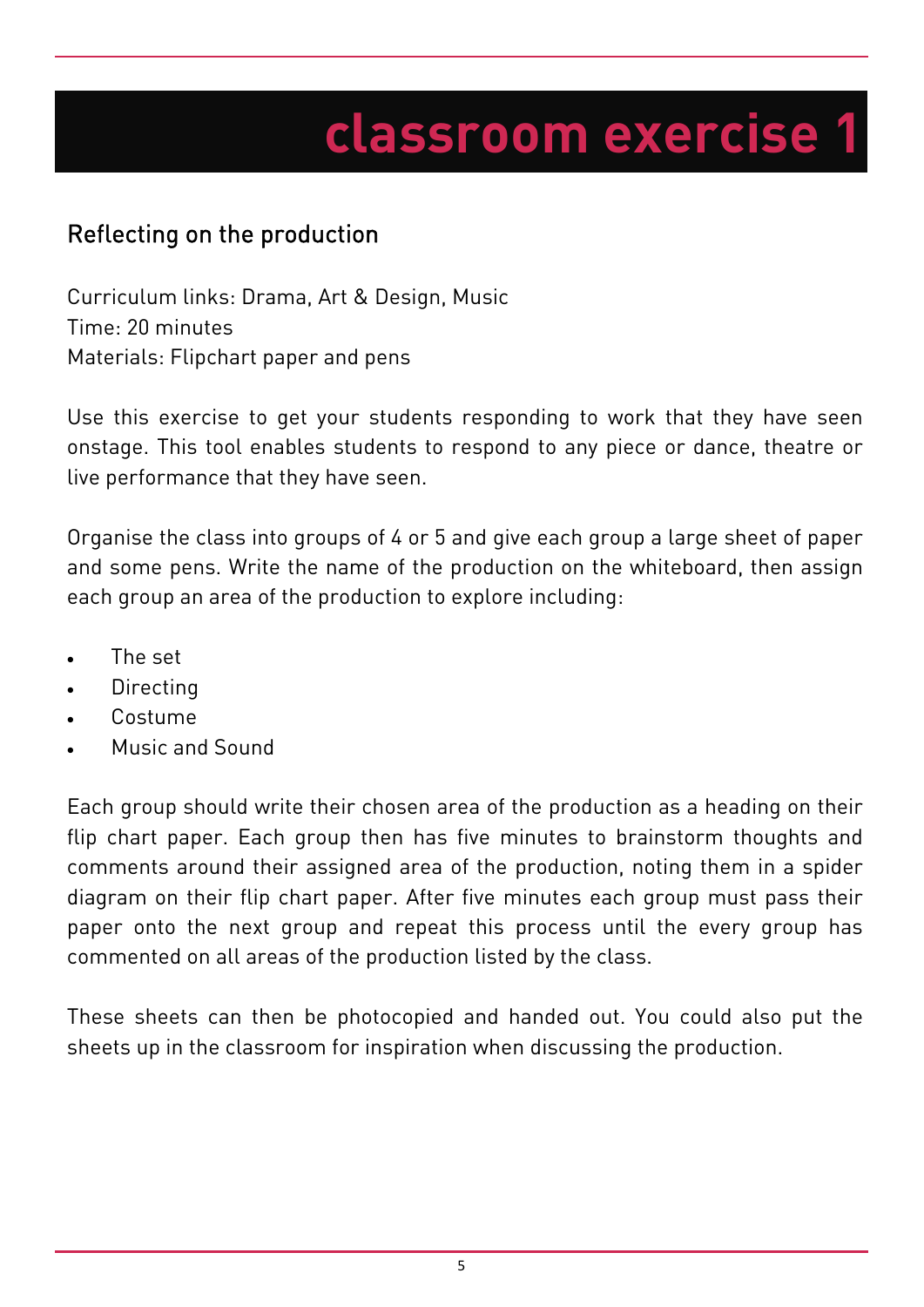### Reflecting on the production

Curriculum links: Drama, Art & Design, Music Time: 20 minutes Materials: Flipchart paper and pens

Use this exercise to get your students responding to work that they have seen onstage. This tool enables students to respond to any piece or dance, theatre or live performance that they have seen.

Organise the class into groups of 4 or 5 and give each group a large sheet of paper and some pens. Write the name of the production on the whiteboard, then assign each group an area of the production to explore including:

- The set
- Directing
- Costume
- Music and Sound

Each group should write their chosen area of the production as a heading on their flip chart paper. Each group then has five minutes to brainstorm thoughts and comments around their assigned area of the production, noting them in a spider diagram on their flip chart paper. After five minutes each group must pass their paper onto the next group and repeat this process until the every group has commented on all areas of the production listed by the class.

These sheets can then be photocopied and handed out. You could also put the sheets up in the classroom for inspiration when discussing the production.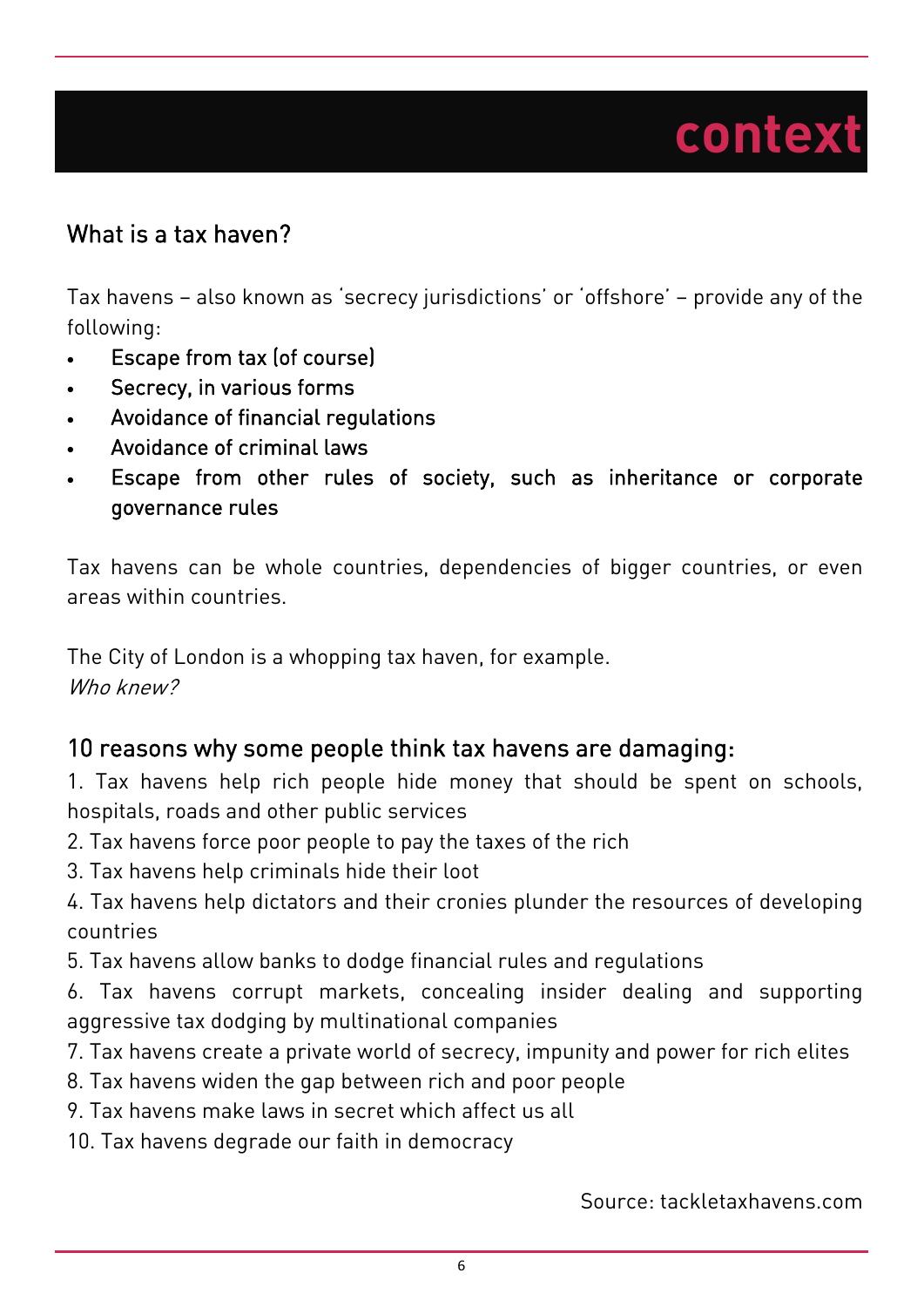### **context**

### What is a tax haven?

Tax havens – also known as 'secrecy jurisdictions' or 'offshore' – provide any of the following:

- Escape from tax (of course)
- **Secrecy, in various forms**
- Avoidance of financial regulations
- Avoidance of criminal laws
- Escape from other rules of society, such as inheritance or corporate governance rules

Tax havens can be whole countries, dependencies of bigger countries, or even areas within countries.

The City of London is a whopping tax haven, for example. Who knew?

### 10 reasons why some people think tax havens are damaging:

1. Tax havens help rich people hide money that should be spent on schools, hospitals, roads and other public services

- 2. Tax havens force poor people to pay the taxes of the rich
- 3. Tax havens help criminals hide their loot
- 4. Tax havens help dictators and their cronies plunder the resources of developing countries
- 5. Tax havens allow banks to dodge financial rules and regulations
- 6. Tax havens corrupt markets, concealing insider dealing and supporting aggressive tax dodging by multinational companies
- 7. Tax havens create a private world of secrecy, impunity and power for rich elites
- 8. Tax havens widen the gap between rich and poor people
- 9. Tax havens make laws in secret which affect us all
- 10. Tax havens degrade our faith in democracy

Source: tackletaxhavens.com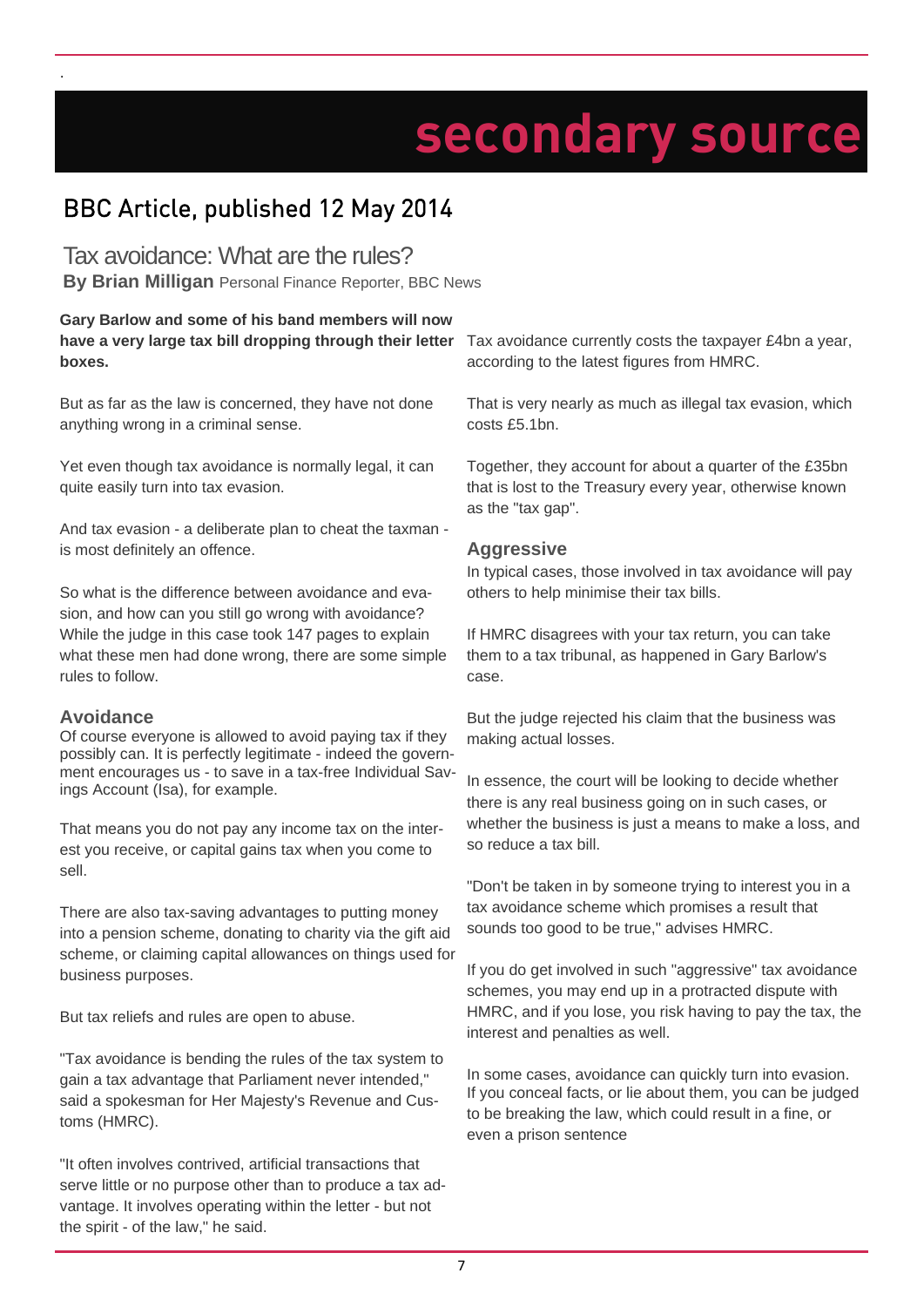## **secondary source**

### BBC Article, published 12 May 2014

Tax avoidance: What are the rules? **By Brian Milligan** Personal Finance Reporter, BBC News

**Gary Barlow and some of his band members will now**  have a very large tax bill dropping through their letter Tax avoidance currently costs the taxpayer £4bn a year, **boxes.** 

But as far as the law is concerned, they have not done anything wrong in a criminal sense.

Yet even though tax avoidance is normally legal, it can quite easily turn into tax evasion.

And tax evasion - a deliberate plan to cheat the taxman is most definitely an offence.

So what is the difference between avoidance and evasion, and how can you still go wrong with avoidance? While the judge in this case took 147 pages to explain what these men had done wrong, there are some simple rules to follow.

#### **Avoidance**

.

Of course everyone is allowed to avoid paying tax if they possibly can. It is perfectly legitimate - indeed the government encourages us - to save in a tax-free Individual Savings Account (Isa), for example.

That means you do not pay any income tax on the interest you receive, or capital gains tax when you come to sell.

There are also tax-saving advantages to putting money into a pension scheme, donating to charity via the gift aid scheme, or claiming capital allowances on things used for business purposes.

But tax reliefs and rules are open to abuse.

"Tax avoidance is bending the rules of the tax system to gain a tax advantage that Parliament never intended," said a spokesman for Her Majesty's Revenue and Customs (HMRC).

"It often involves contrived, artificial transactions that serve little or no purpose other than to produce a tax advantage. It involves operating within the letter - but not the spirit - of the law," he said.

according to the latest figures from HMRC.

That is very nearly as much as illegal tax evasion, which costs £5.1bn.

Together, they account for about a quarter of the £35bn that is lost to the Treasury every year, otherwise known as the "tax gap".

#### **Aggressive**

In typical cases, those involved in tax avoidance will pay others to help minimise their tax bills.

If HMRC disagrees with your tax return, you can take them to a tax tribunal, as happened in Gary Barlow's case.

But the judge rejected his claim that the business was making actual losses.

In essence, the court will be looking to decide whether there is any real business going on in such cases, or whether the business is just a means to make a loss, and so reduce a tax bill.

"Don't be taken in by someone trying to interest you in a tax avoidance scheme which promises a result that sounds too good to be true," advises HMRC.

If you do get involved in such "aggressive" tax avoidance schemes, you may end up in a protracted dispute with HMRC, and if you lose, you risk having to pay the tax, the interest and penalties as well.

In some cases, avoidance can quickly turn into evasion. If you conceal facts, or lie about them, you can be judged to be breaking the law, which could result in a fine, or even a prison sentence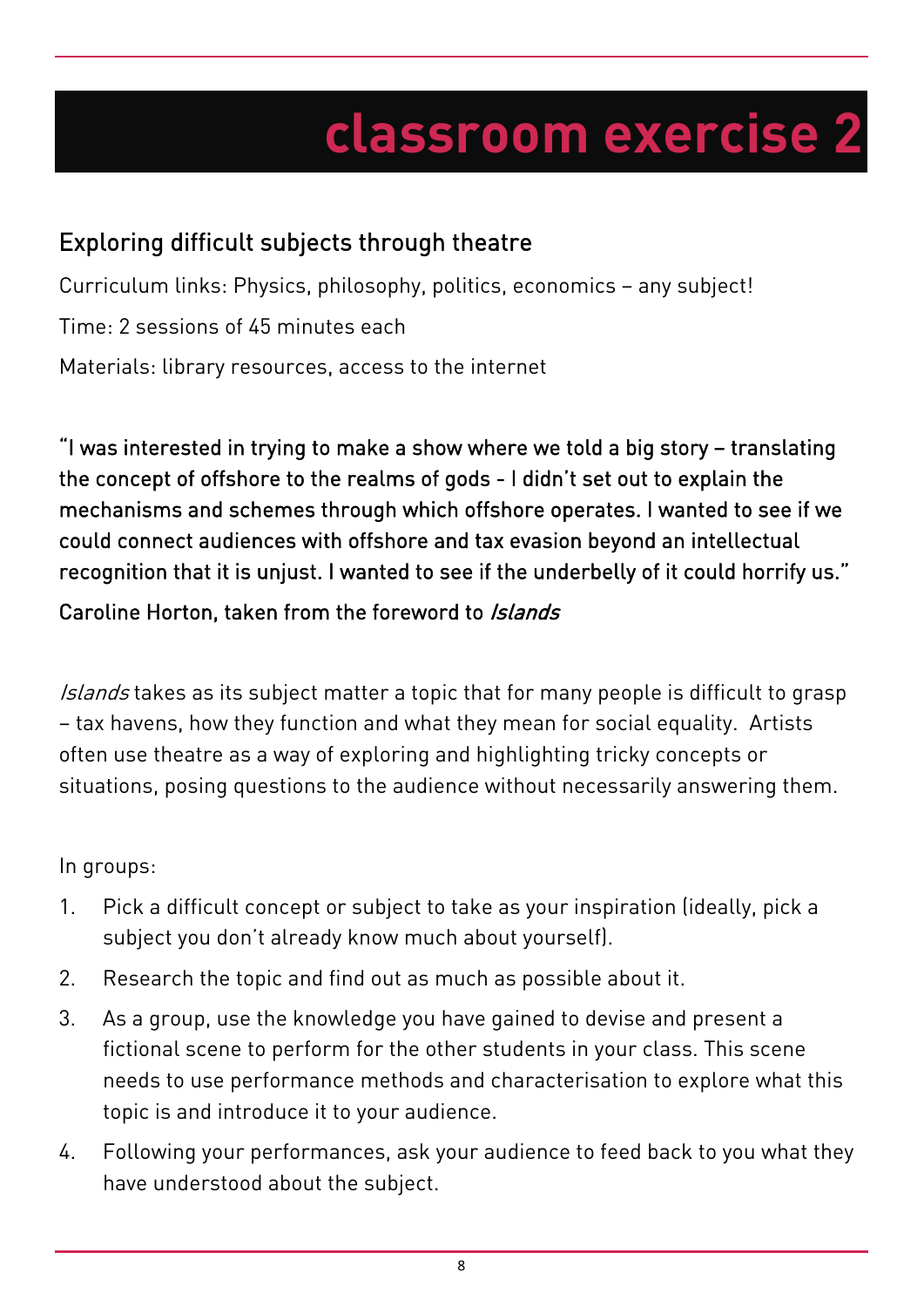### Exploring difficult subjects through theatre

Curriculum links: Physics, philosophy, politics, economics – any subject! Time: 2 sessions of 45 minutes each Materials: library resources, access to the internet

"I was interested in trying to make a show where we told a big story – translating the concept of offshore to the realms of gods - I didn't set out to explain the mechanisms and schemes through which offshore operates. I wanted to see if we could connect audiences with offshore and tax evasion beyond an intellectual recognition that it is unjust. I wanted to see if the underbelly of it could horrify us."

#### Caroline Horton, taken from the foreword to *Islands*

Islands takes as its subject matter a topic that for many people is difficult to grasp – tax havens, how they function and what they mean for social equality. Artists often use theatre as a way of exploring and highlighting tricky concepts or situations, posing questions to the audience without necessarily answering them.

In groups:

- 1. Pick a difficult concept or subject to take as your inspiration (ideally, pick a subject you don't already know much about yourself).
- 2. Research the topic and find out as much as possible about it.
- 3. As a group, use the knowledge you have gained to devise and present a fictional scene to perform for the other students in your class. This scene needs to use performance methods and characterisation to explore what this topic is and introduce it to your audience.
- 4. Following your performances, ask your audience to feed back to you what they have understood about the subject.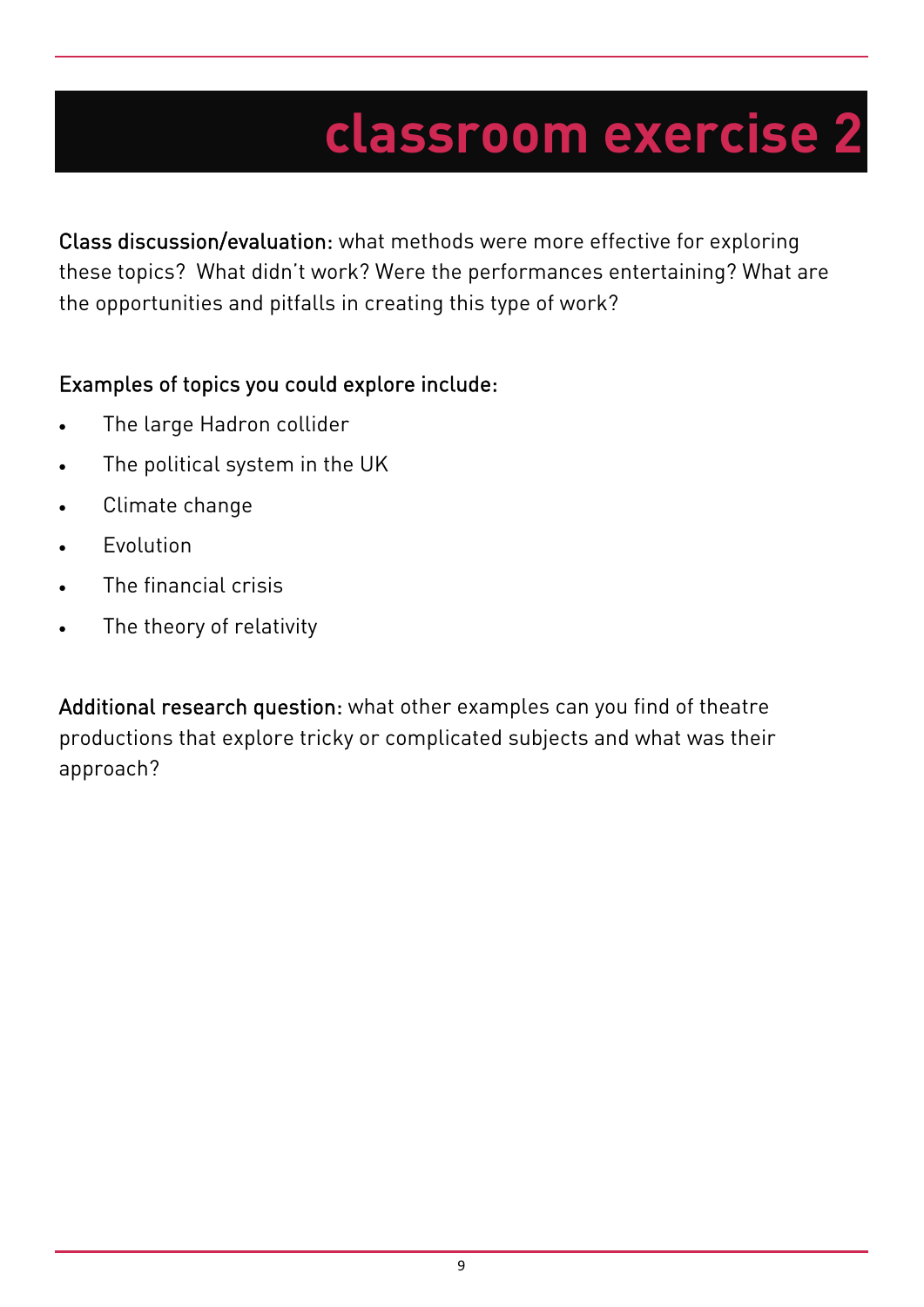Class discussion/evaluation: what methods were more effective for exploring these topics? What didn't work? Were the performances entertaining? What are the opportunities and pitfalls in creating this type of work?

#### Examples of topics you could explore include:

- The large Hadron collider
- The political system in the UK
- Climate change
- Evolution
- The financial crisis
- The theory of relativity

Additional research question: what other examples can you find of theatre productions that explore tricky or complicated subjects and what was their approach?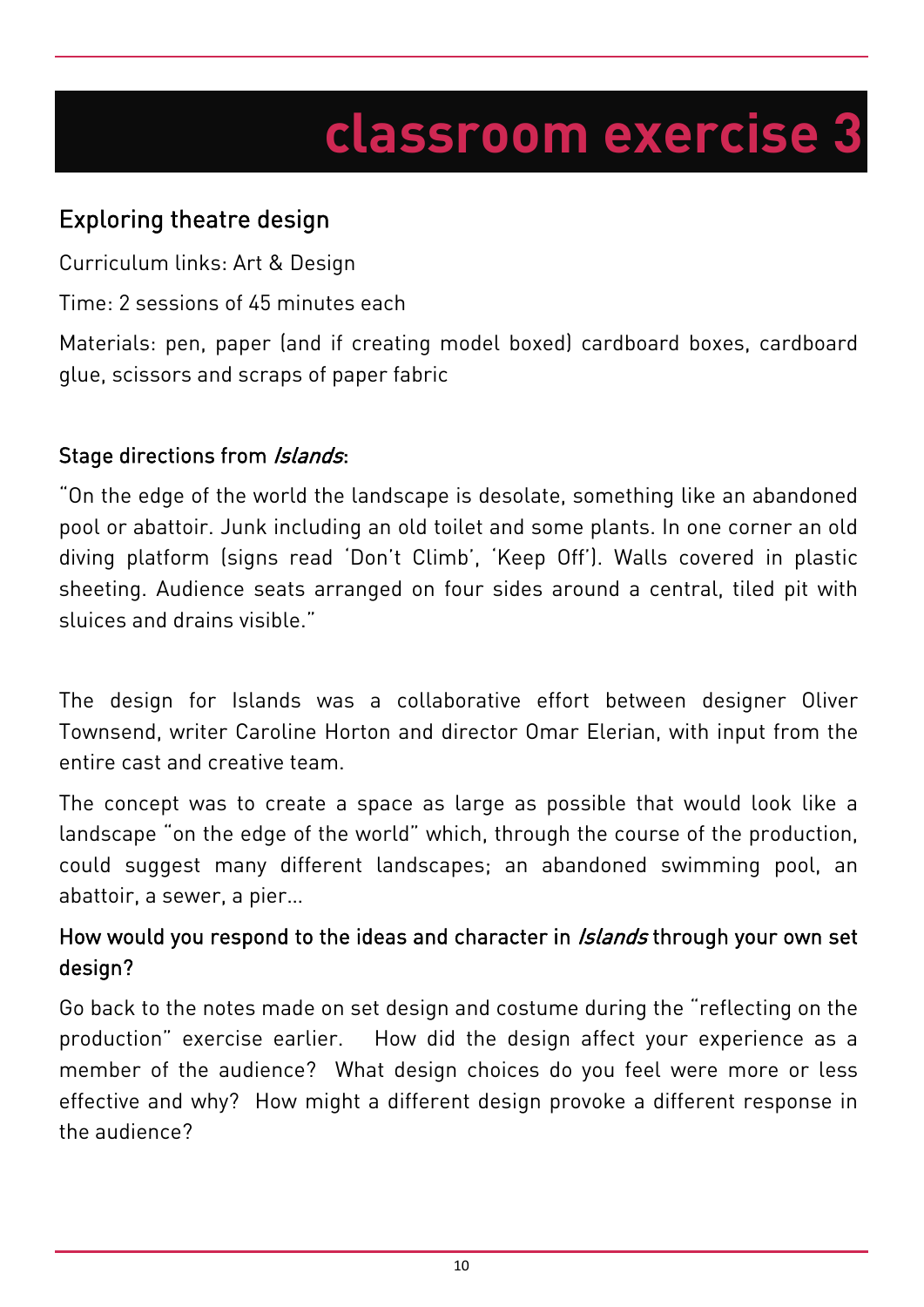### Exploring theatre design

Curriculum links: Art & Design

Time: 2 sessions of 45 minutes each

Materials: pen, paper (and if creating model boxed) cardboard boxes, cardboard glue, scissors and scraps of paper fabric

#### Stage directions from *Islands*:

"On the edge of the world the landscape is desolate, something like an abandoned pool or abattoir. Junk including an old toilet and some plants. In one corner an old diving platform (signs read 'Don't Climb', 'Keep Off'). Walls covered in plastic sheeting. Audience seats arranged on four sides around a central, tiled pit with sluices and drains visible."

The design for Islands was a collaborative effort between designer Oliver Townsend, writer Caroline Horton and director Omar Elerian, with input from the entire cast and creative team.

The concept was to create a space as large as possible that would look like a landscape "on the edge of the world" which, through the course of the production, could suggest many different landscapes; an abandoned swimming pool, an abattoir, a sewer, a pier…

#### How would you respond to the ideas and character in *Islands* through your own set design?

Go back to the notes made on set design and costume during the "reflecting on the production" exercise earlier. How did the design affect your experience as a member of the audience? What design choices do you feel were more or less effective and why? How might a different design provoke a different response in the audience?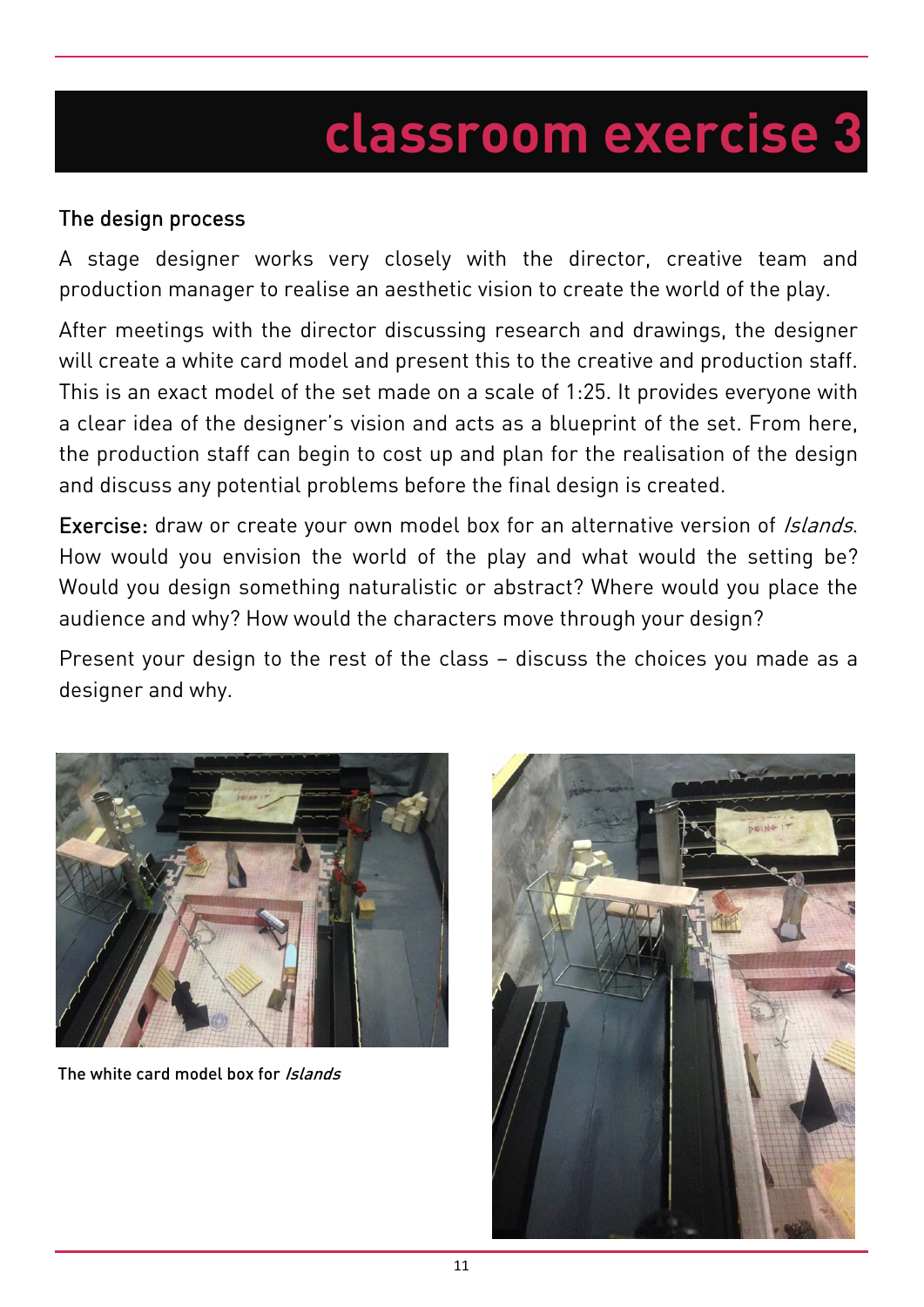#### The design process

A stage designer works very closely with the director, creative team and production manager to realise an aesthetic vision to create the world of the play.

After meetings with the director discussing research and drawings, the designer will create a white card model and present this to the creative and production staff. This is an exact model of the set made on a scale of 1:25. It provides everyone with a clear idea of the designer's vision and acts as a blueprint of the set. From here, the production staff can begin to cost up and plan for the realisation of the design and discuss any potential problems before the final design is created.

Exercise: draw or create your own model box for an alternative version of *Islands*. How would you envision the world of the play and what would the setting be? Would you design something naturalistic or abstract? Where would you place the audience and why? How would the characters move through your design?

Present your design to the rest of the class – discuss the choices you made as a designer and why.



The white card model box for *Islands* 

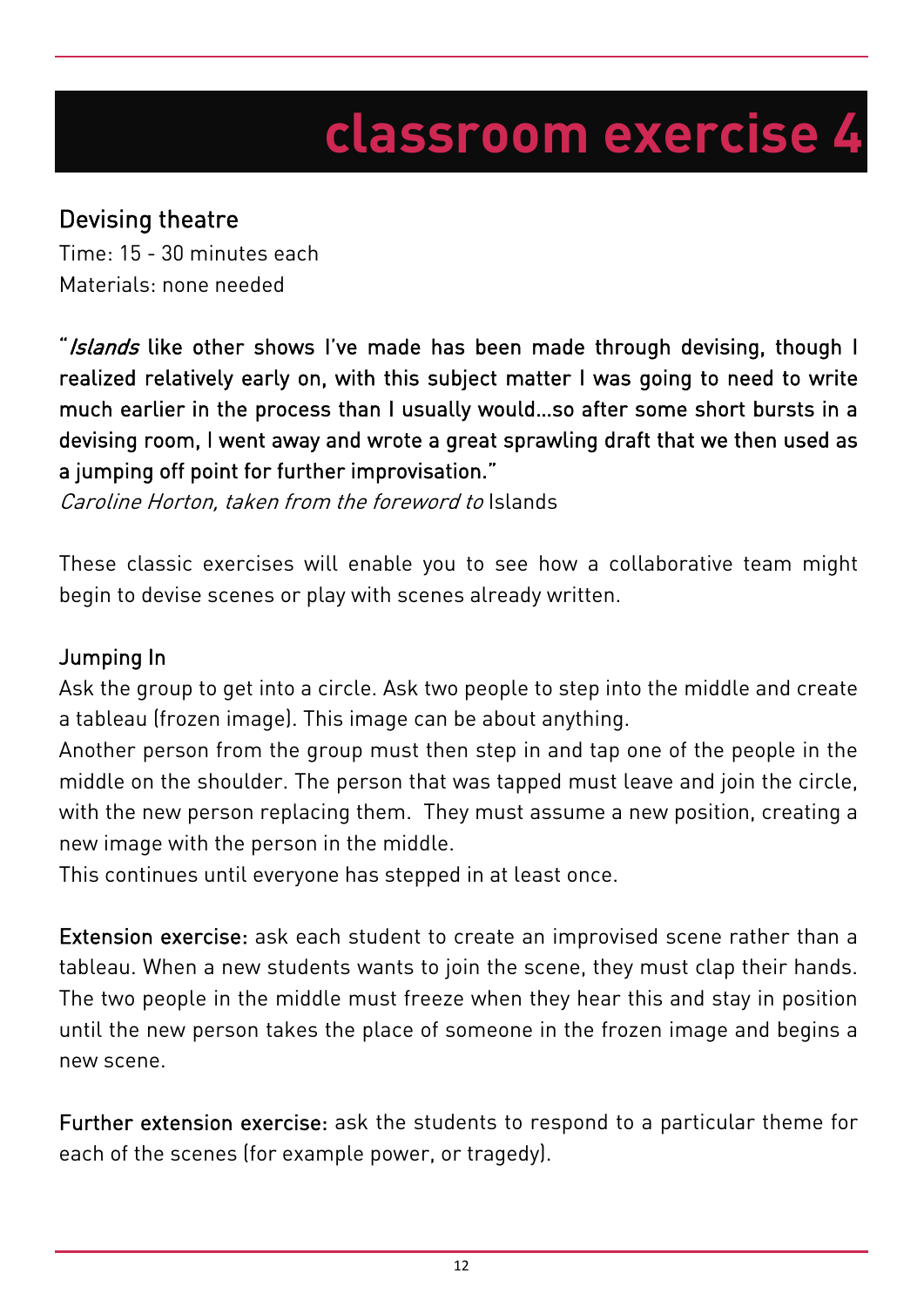### Devising theatre

Time: 15 - 30 minutes each Materials: none needed

"Islands like other shows I've made has been made through devising, though I realized relatively early on, with this subject matter I was going to need to write much earlier in the process than I usually would…so after some short bursts in a devising room, I went away and wrote a great sprawling draft that we then used as a jumping off point for further improvisation."

Caroline Horton, taken from the foreword to Islands

These classic exercises will enable you to see how a collaborative team might begin to devise scenes or play with scenes already written.

#### Jumping In

Ask the group to get into a circle. Ask two people to step into the middle and create a tableau (frozen image). This image can be about anything.

Another person from the group must then step in and tap one of the people in the middle on the shoulder. The person that was tapped must leave and join the circle, with the new person replacing them. They must assume a new position, creating a new image with the person in the middle.

This continues until everyone has stepped in at least once.

Extension exercise: ask each student to create an improvised scene rather than a tableau. When a new students wants to join the scene, they must clap their hands. The two people in the middle must freeze when they hear this and stay in position until the new person takes the place of someone in the frozen image and begins a new scene.

Further extension exercise: ask the students to respond to a particular theme for each of the scenes (for example power, or tragedy).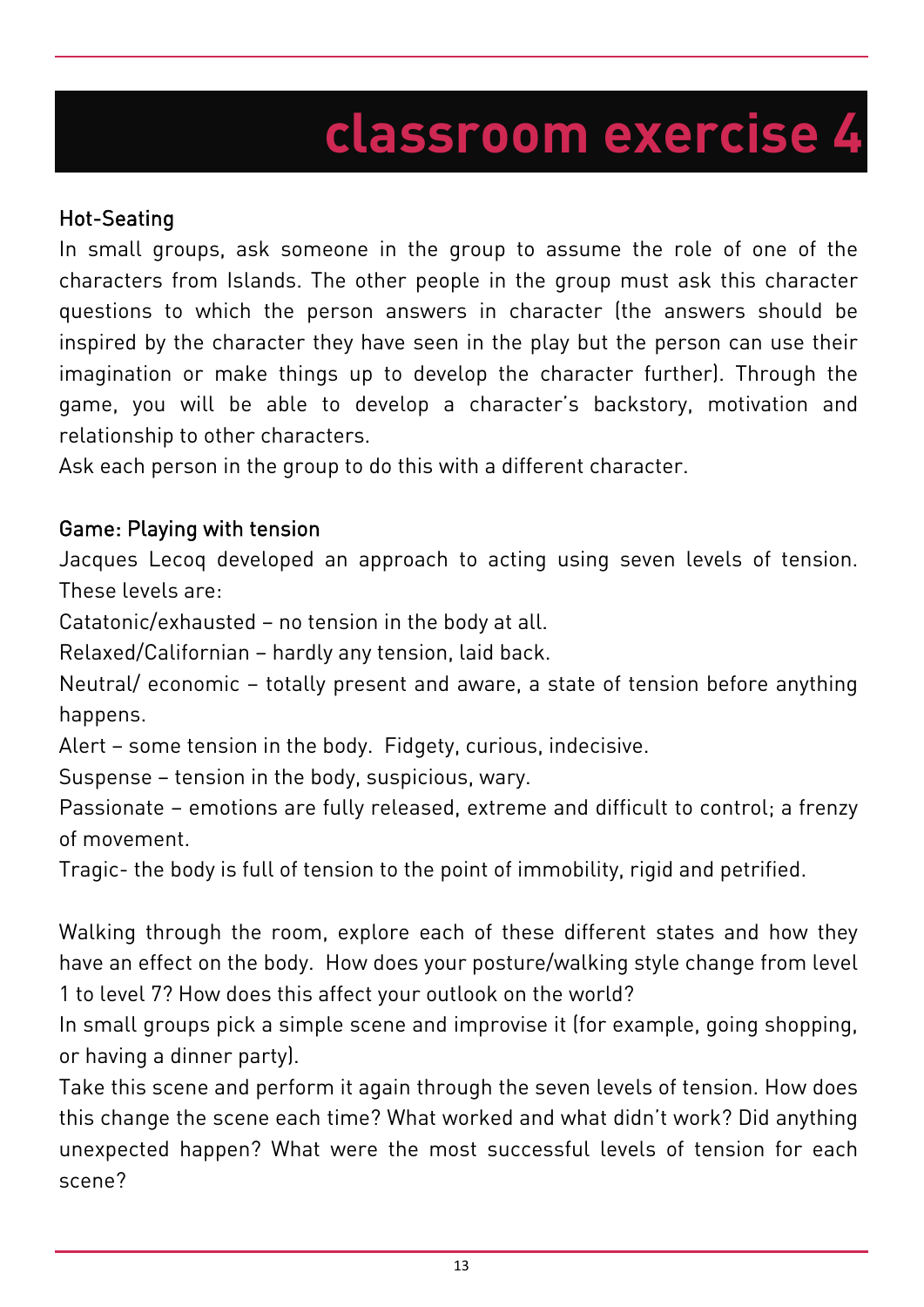#### Hot-Seating

In small groups, ask someone in the group to assume the role of one of the characters from Islands. The other people in the group must ask this character questions to which the person answers in character (the answers should be inspired by the character they have seen in the play but the person can use their imagination or make things up to develop the character further). Through the game, you will be able to develop a character's backstory, motivation and relationship to other characters.

Ask each person in the group to do this with a different character.

#### Game: Playing with tension

Jacques Lecoq developed an approach to acting using seven levels of tension. These levels are:

Catatonic/exhausted – no tension in the body at all.

Relaxed/Californian – hardly any tension, laid back.

Neutral/ economic – totally present and aware, a state of tension before anything happens.

Alert – some tension in the body. Fidgety, curious, indecisive.

Suspense – tension in the body, suspicious, wary.

Passionate – emotions are fully released, extreme and difficult to control; a frenzy of movement.

Tragic- the body is full of tension to the point of immobility, rigid and petrified.

Walking through the room, explore each of these different states and how they have an effect on the body. How does your posture/walking style change from level 1 to level 7? How does this affect your outlook on the world?

In small groups pick a simple scene and improvise it (for example, going shopping, or having a dinner party).

Take this scene and perform it again through the seven levels of tension. How does this change the scene each time? What worked and what didn't work? Did anything unexpected happen? What were the most successful levels of tension for each scene?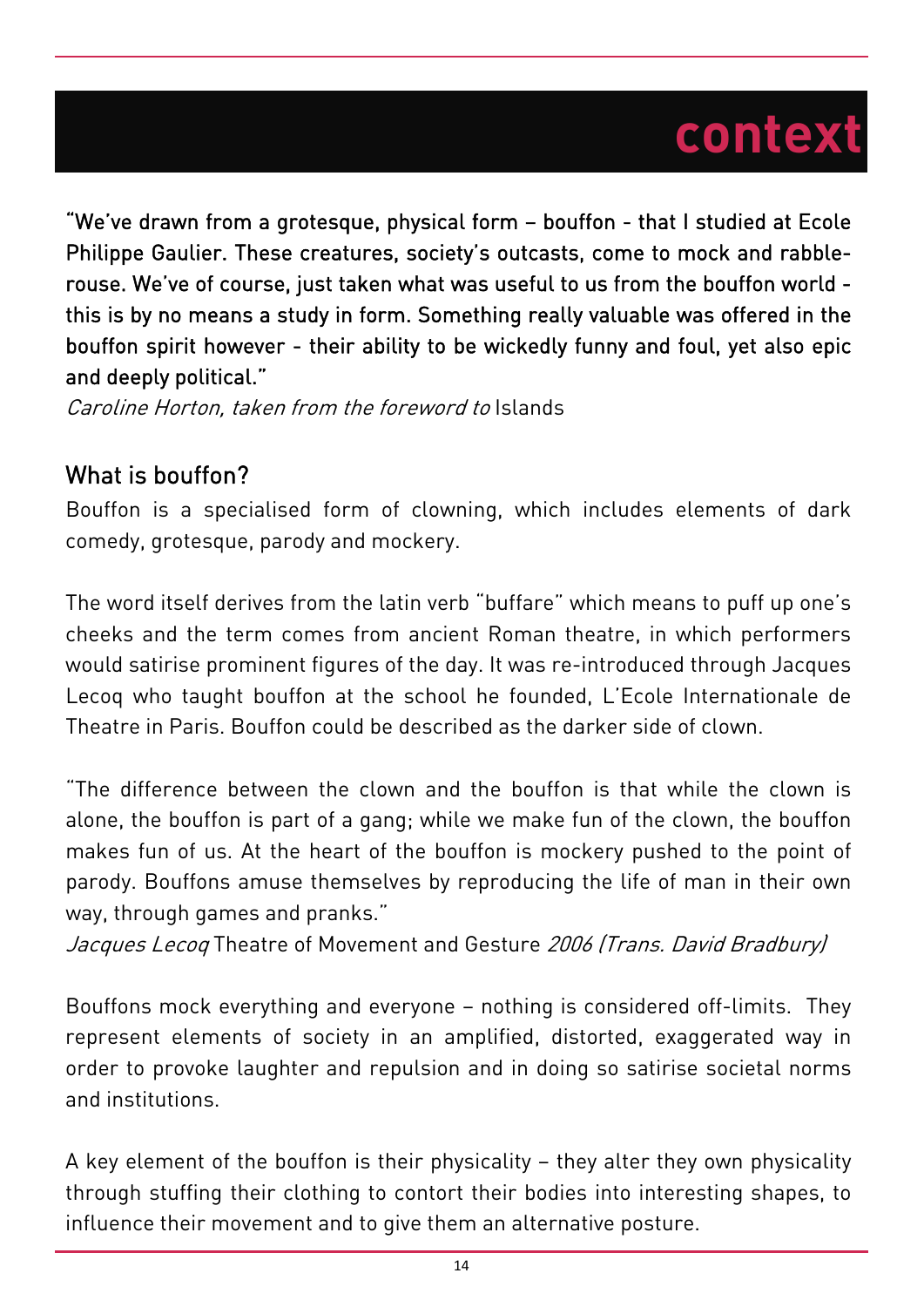## **context**

"We've drawn from a grotesque, physical form – bouffon - that I studied at Ecole Philippe Gaulier. These creatures, society's outcasts, come to mock and rabblerouse. We've of course, just taken what was useful to us from the bouffon world this is by no means a study in form. Something really valuable was offered in the bouffon spirit however - their ability to be wickedly funny and foul, yet also epic and deeply political."

Caroline Horton, taken from the foreword to Islands

### What is bouffon?

Bouffon is a specialised form of clowning, which includes elements of dark comedy, grotesque, parody and mockery.

The word itself derives from the latin verb "buffare" which means to puff up one's cheeks and the term comes from ancient Roman theatre, in which performers would satirise prominent figures of the day. It was re-introduced through Jacques Lecoq who taught bouffon at the school he founded, L'Ecole Internationale de Theatre in Paris. Bouffon could be described as the darker side of clown.

"The difference between the clown and the bouffon is that while the clown is alone, the bouffon is part of a gang; while we make fun of the clown, the bouffon makes fun of us. At the heart of the bouffon is mockery pushed to the point of parody. Bouffons amuse themselves by reproducing the life of man in their own way, through games and pranks."

Jacques Lecoq Theatre of Movement and Gesture 2006 (Trans. David Bradbury)

Bouffons mock everything and everyone – nothing is considered off-limits. They represent elements of society in an amplified, distorted, exaggerated way in order to provoke laughter and repulsion and in doing so satirise societal norms and institutions.

A key element of the bouffon is their physicality – they alter they own physicality through stuffing their clothing to contort their bodies into interesting shapes, to influence their movement and to give them an alternative posture.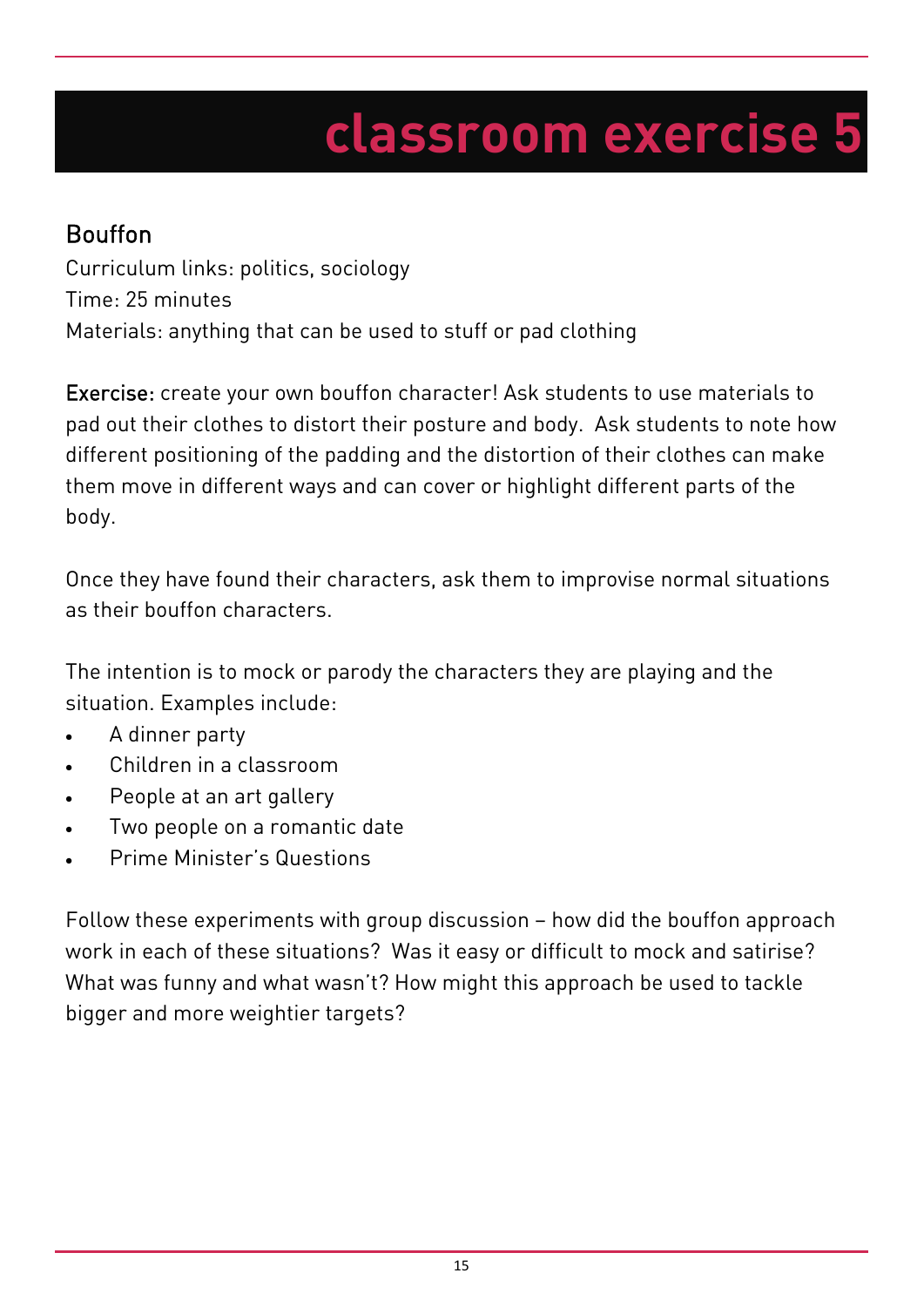### Bouffon

Curriculum links: politics, sociology Time: 25 minutes Materials: anything that can be used to stuff or pad clothing

Exercise: create your own bouffon character! Ask students to use materials to pad out their clothes to distort their posture and body. Ask students to note how different positioning of the padding and the distortion of their clothes can make them move in different ways and can cover or highlight different parts of the body.

Once they have found their characters, ask them to improvise normal situations as their bouffon characters.

The intention is to mock or parody the characters they are playing and the situation. Examples include:

- A dinner party
- Children in a classroom
- People at an art gallery
- Two people on a romantic date
- Prime Minister's Questions

Follow these experiments with group discussion – how did the bouffon approach work in each of these situations? Was it easy or difficult to mock and satirise? What was funny and what wasn't? How might this approach be used to tackle bigger and more weightier targets?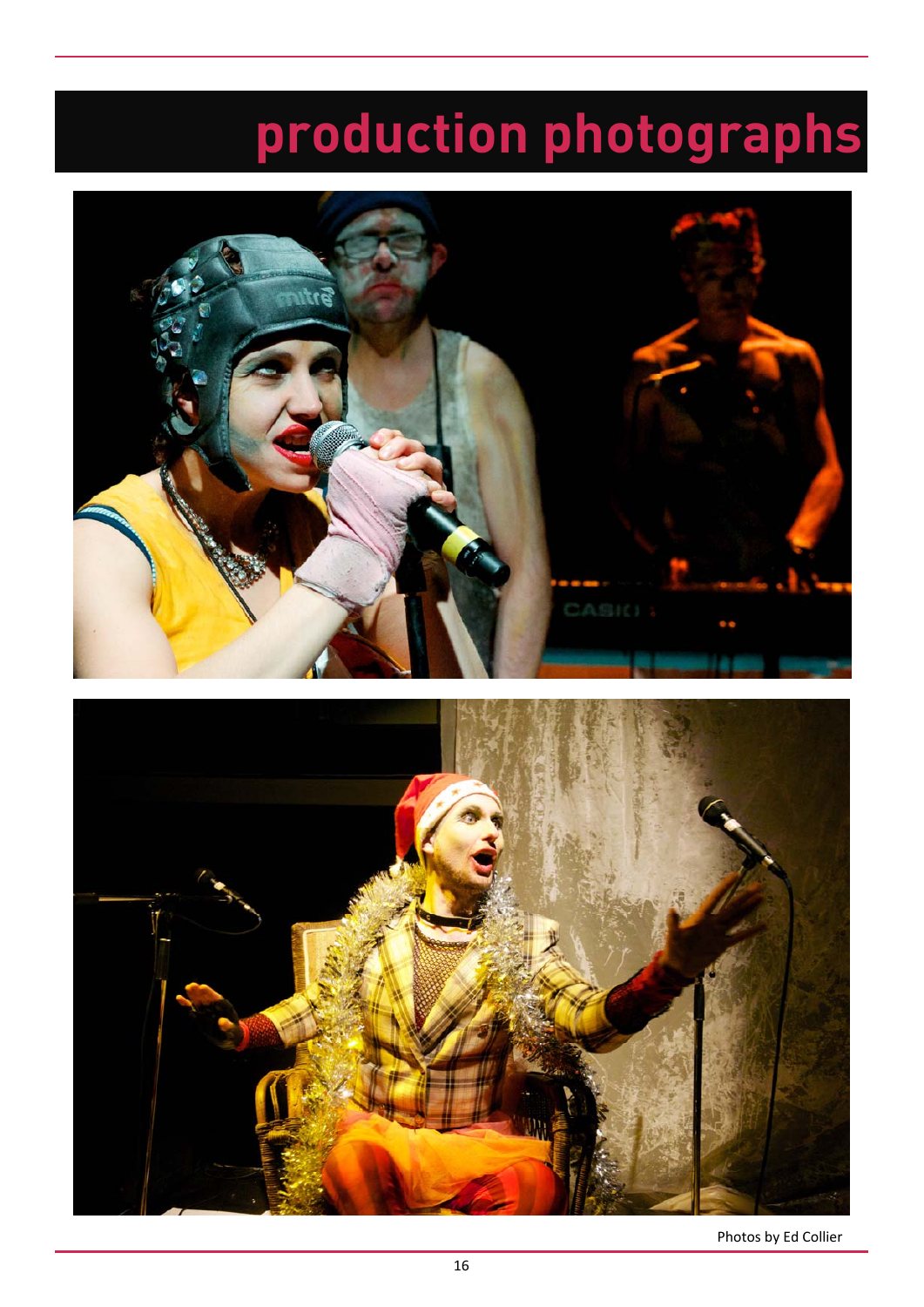# **production photographs**





Photos by Ed Collier